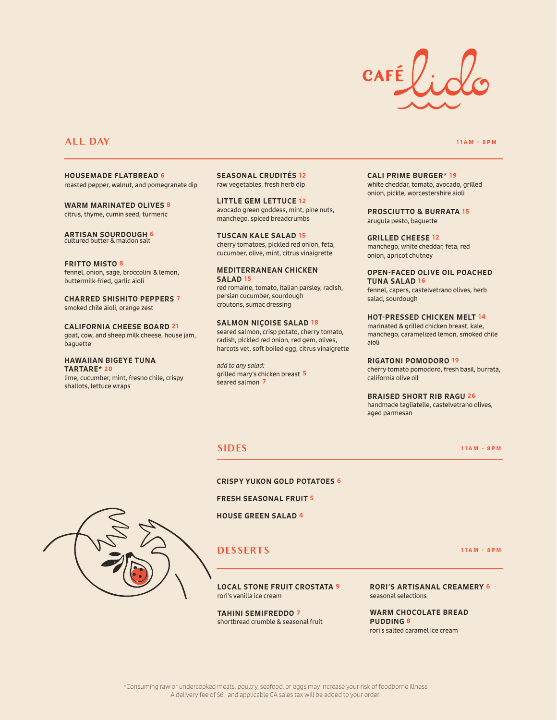

## **ALL DAY**

HOUSEMADE FLATBREAD 6 roasted pepper, walnut, and pomegranate dip

WARM MARINATED OLIVES 8 citrus, thyme, cumin seed, turmeric

ARTISAN SOURDOUGH 6 cultured butter & maldon salt

FRITTO MISTO 8 fennel, onion, sage, broccolini & lemon, buttermilk-fried, garlic aioli

CHARRED SHISHITO PEPPERS 7 smoked chile aioli, orange zest

CALIFORNIA CHEESE BOARD 21 goat, cow, and sheep milk cheese, house jam, baguette

HAWAIIAN BIGEYE TUNA TARTARE\* 20 lime, cucumber, mint, fresno chile, crispy shallots, lettuce wraps

SEASONAL CRUDITÉS 12 raw vegetables, fresh herb dip

LITTLE GEM LETTUCE 12 avocado green goddess, mint, pine nuts, manchego, spiced breadcrumbs

TUSCAN KALE SALAD 15 cherry tomatoes, pickled red onion, feta, cucumber, olive, mint, citrus vinaigrette

MEDITERRANEAN CHICKEN SALAD 15 red romaine, tomato, italian parsley, radish, persian cucumber, sourdough croutons, sumac dressing

SALMON NIÇOISE SALAD 18 seared salmon, crisp potato, cherry tomato, radish, pickled red onion, red gem, olives, harcots vet, soft boiled egg, citrus vinaigrette

*add to any salad:*  grilled mary's chicken breast 5 seared salmon 7

CALI PRIME BURGER\* 19 white cheddar, tomato, avocado, grilled onion, pickle, worcestershire aioli

PROSCIUTTO & BURRATA 15 arugula pesto, baguette

GRILLED CHEESE 12 manchego, white cheddar, feta, red onion, apricot chutney

OPEN-FACED OLIVE OIL POACHED TUNA SALAD 16 fennel, capers, castelvetrano olives, herb salad, sourdough

HOT-PRESSED CHICKEN MELT 14 marinated & grilled chicken breast, kale, manchego, caramelized lemon, smoked chile aioli

RIGATONI POMODORO 19 cherry tomato pomodoro, fresh basil, burrata,

california olive oil

BRAISED SHORT RIB RAGU 26 handmade tagliatelle, castelvetrano olives, aged parmesan

## **SIDES**

11AM - 8PM

CRISPY YUKON GOLD POTATOES 6

FRESH SEASONAL FRUIT 5

HOUSE GREEN SALAD 4

## **DESSERT S**

11AM - 8PM

LOCAL STONE FRUIT CROSTATA 9 rori's vanilla ice cream

TAHINI SEMIFREDDO 7 shortbread crumble & seasonal fruit RORI'S ARTISANAL CREAMERY 6 seasonal selections

WARM CHOCOLATE BREAD PUDDING 8 rori's salted caramel ice cream



11AM - 8PM